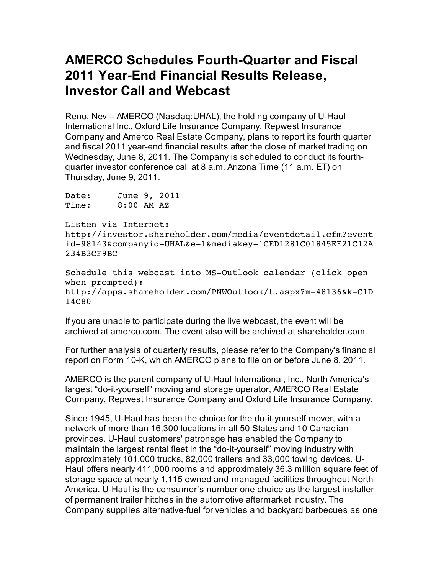## **AMERCO Schedules Fourth-Quarter and Fiscal 2011 Year-End Financial Results Release, Investor Call and Webcast**

Reno, Nev -- AMERCO (Nasdaq:UHAL), the holding company of U-Haul International Inc., Oxford Life Insurance Company, Repwest Insurance Company and Amerco Real Estate Company, plans to report its fourth quarter and fiscal 2011 year-end financial results after the close of market trading on Wednesday, June 8, 2011. The Company is scheduled to conduct its fourthquarter investor conference call at 8 a.m. Arizona Time (11 a.m. ET) on Thursday, June 9, 2011.

Date: June 9, 2011 Time: 8:00 AM AZ

Listen via Internet:

http://investor.shareholder.com/media/eventdetail.cfm?event id=98143&companyid=UHAL&e=1&mediakey=1CED1281C01845EE21C12A 234B3CF9BC

Schedule this webcast into MS-Outlook calendar (click open when prompted): http://apps.shareholder.com/PNWOutlook/t.aspx?m=48136&k=C1D 14C80

If you are unable to participate during the live webcast, the event will be archived at amerco.com. The event also will be archived at shareholder.com.

For further analysis of quarterly results, please refer to the Company's financial report on Form 10-K, which AMERCO plans to file on or before June 8, 2011.

AMERCO is the parent company of U-Haul International, Inc., North America's largest "do-it-yourself" moving and storage operator, AMERCO Real Estate Company, Repwest Insurance Company and Oxford Life Insurance Company.

Since 1945, U-Haul has been the choice for the do-it-yourself mover, with a network of more than 16,300 locations in all 50 States and 10 Canadian provinces. U-Haul customers' patronage has enabled the Company to maintain the largest rental fleet in the "do-it-yourself" moving industry with approximately 101,000 trucks, 82,000 trailers and 33,000 towing devices. U-Haul offers nearly 411,000 rooms and approximately 36.3 million square feet of storage space at nearly 1,115 owned and managed facilities throughout North America. U-Haul is the consumer's number one choice as the largest installer of permanent trailer hitches in the automotive aftermarket industry. The Company supplies alternative-fuel for vehicles and backyard barbecues as one